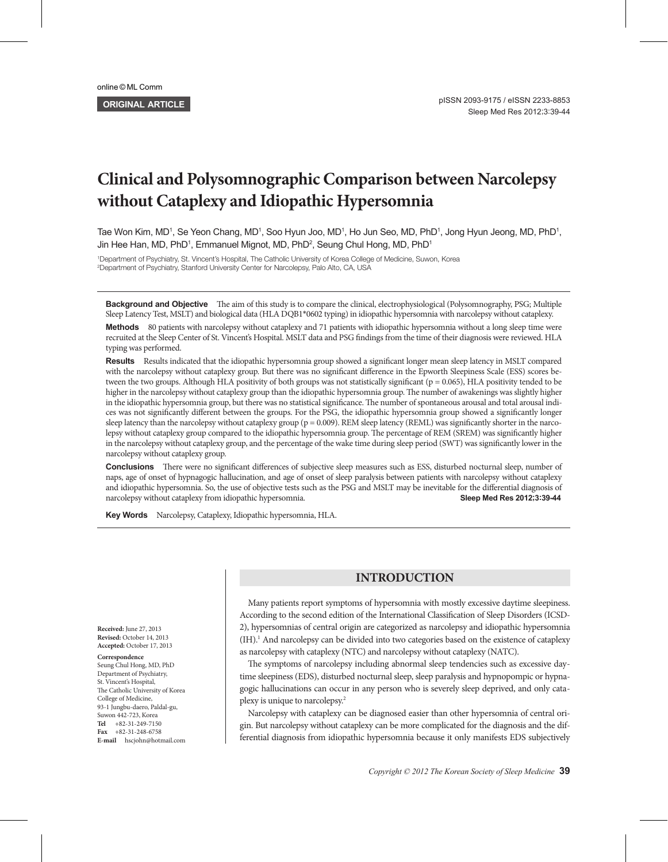# **Clinical and Polysomnographic Comparison between Narcolepsy without Cataplexy and Idiopathic Hypersomnia**

Tae Won Kim, MD<sup>1</sup>, Se Yeon Chang, MD<sup>1</sup>, Soo Hyun Joo, MD<sup>1</sup>, Ho Jun Seo, MD, PhD<sup>1</sup>, Jong Hyun Jeong, MD, PhD<sup>1</sup>, Jin Hee Han, MD, PhD<sup>1</sup>, Emmanuel Mignot, MD, PhD<sup>2</sup>, Seung Chul Hong, MD, PhD<sup>1</sup>

1 Department of Psychiatry, St. Vincent's Hospital, The Catholic University of Korea College of Medicine, Suwon, Korea 2 Department of Psychiatry, Stanford University Center for Narcolepsy, Palo Alto, CA, USA

**Background and Objective** The aim of this study is to compare the clinical, electrophysiological (Polysomnography, PSG; Multiple Sleep Latency Test, MSLT) and biological data (HLA DQB1\*0602 typing) in idiopathic hypersomnia with narcolepsy without cataplexy.

**Methods** 80 patients with narcolepsy without cataplexy and 71 patients with idiopathic hypersomnia without a long sleep time were recruited at the Sleep Center of St. Vincent's Hospital. MSLT data and PSG findings from the time of their diagnosis were reviewed. HLA typing was performed.

Results Results indicated that the idiopathic hypersomnia group showed a significant longer mean sleep latency in MSLT compared with the narcolepsy without cataplexy group. But there was no significant difference in the Epworth Sleepiness Scale (ESS) scores between the two groups. Although HLA positivity of both groups was not statistically significant ( $p = 0.065$ ), HLA positivity tended to be higher in the narcolepsy without cataplexy group than the idiopathic hypersomnia group. The number of awakenings was slightly higher in the idiopathic hypersomnia group, but there was no statistical significance. The number of spontaneous arousal and total arousal indices was not significantly different between the groups. For the PSG, the idiopathic hypersomnia group showed a significantly longer sleep latency than the narcolepsy without cataplexy group ( $p = 0.009$ ). REM sleep latency (REML) was significantly shorter in the narcolepsy without cataplexy group compared to the idiopathic hypersomnia group. The percentage of REM (SREM) was significantly higher in the narcolepsy without cataplexy group, and the percentage of the wake time during sleep period (SWT) was significantly lower in the narcolepsy without cataplexy group.

**Conclusions** There were no significant differences of subjective sleep measures such as ESS, disturbed nocturnal sleep, number of naps, age of onset of hypnagogic hallucination, and age of onset of sleep paralysis between patients with narcolepsy without cataplexy and idiopathic hypersomnia. So, the use of objective tests such as the PSG and MSLT may be inevitable for the differential diagnosis of narcolepsy without cataplexy from idiopathic hypersomnia. **Sleep Med Res 2012;3:39-44** 

Key Words Narcolepsy, Cataplexy, Idiopathic hypersomnia, HLA.

# **INTRODUCTION**

Many patients report symptoms of hypersomnia with mostly excessive daytime sleepiness. According to the second edition of the International Classification of Sleep Disorders (ICSD-2), hypersomnias of central origin are categorized as narcolepsy and idiopathic hypersomnia (IH).<sup>1</sup> And narcolepsy can be divided into two categories based on the existence of cataplexy as narcolepsy with cataplexy (NTC) and narcolepsy without cataplexy (NATC).

The symptoms of narcolepsy including abnormal sleep tendencies such as excessive daytime sleepiness (EDS), disturbed nocturnal sleep, sleep paralysis and hypnopompic or hypnagogic hallucinations can occur in any person who is severely sleep deprived, and only cataplexy is unique to narcolepsy.2

Narcolepsy with cataplexy can be diagnosed easier than other hypersomnia of central origin. But narcolepsy without cataplexy can be more complicated for the diagnosis and the differential diagnosis from idiopathic hypersomnia because it only manifests EDS subjectively

**Received:** June 27, 2013 **Revised:** October 14, 2013 **Accepted:** October 17, 2013

**Correspondence** Seung Chul Hong, MD, PhD Department of Psychiatry, St. Vincent's Hospital, The Catholic University of Korea College of Medicine, 93-1 Jungbu-daero, Paldal-gu, Suwon 442-723, Korea **Tel** +82-31-249-7150 **Fax** +82-31-248-6758 **E-mail** hscjohn@hotmail.com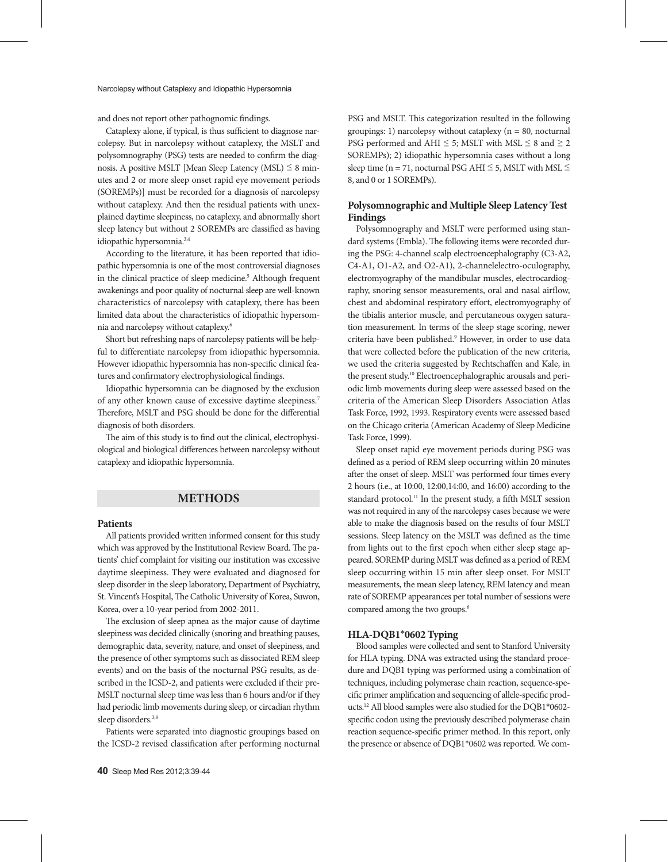and does not report other pathognomic findings.

Cataplexy alone, if typical, is thus sufficient to diagnose narcolepsy. But in narcolepsy without cataplexy, the MSLT and polysomnography (PSG) tests are needed to confirm the diagnosis. A positive MSLT [Mean Sleep Latency (MSL)  $\leq 8$  minutes and 2 or more sleep onset rapid eye movement periods (SOREMPs)] must be recorded for a diagnosis of narcolepsy without cataplexy. And then the residual patients with unexplained daytime sleepiness, no cataplexy, and abnormally short sleep latency but without 2 SOREMPs are classified as having idiopathic hypersomnia.3,4

According to the literature, it has been reported that idiopathic hypersomnia is one of the most controversial diagnoses in the clinical practice of sleep medicine.<sup>5</sup> Although frequent awakenings and poor quality of nocturnal sleep are well-known characteristics of narcolepsy with cataplexy, there has been limited data about the characteristics of idiopathic hypersomnia and narcolepsy without cataplexy.6

Short but refreshing naps of narcolepsy patients will be helpful to differentiate narcolepsy from idiopathic hypersomnia. However idiopathic hypersomnia has non-specific clinical features and confirmatory electrophysiological findings.

Idiopathic hypersomnia can be diagnosed by the exclusion of any other known cause of excessive daytime sleepiness.7 Therefore, MSLT and PSG should be done for the differential diagnosis of both disorders.

The aim of this study is to find out the clinical, electrophysiological and biological differences between narcolepsy without cataplexy and idiopathic hypersomnia.

## **METHODS**

#### **Patients**

All patients provided written informed consent for this study which was approved by the Institutional Review Board. The patients' chief complaint for visiting our institution was excessive daytime sleepiness. They were evaluated and diagnosed for sleep disorder in the sleep laboratory, Department of Psychiatry, St. Vincent's Hospital, The Catholic University of Korea, Suwon, Korea, over a 10-year period from 2002-2011.

The exclusion of sleep apnea as the major cause of daytime sleepiness was decided clinically (snoring and breathing pauses, demographic data, severity, nature, and onset of sleepiness, and the presence of other symptoms such as dissociated REM sleep events) and on the basis of the nocturnal PSG results, as described in the ICSD-2, and patients were excluded if their pre-MSLT nocturnal sleep time was less than 6 hours and/or if they had periodic limb movements during sleep, or circadian rhythm sleep disorders.<sup>3,8</sup>

Patients were separated into diagnostic groupings based on the ICSD-2 revised classification after performing nocturnal PSG and MSLT. This categorization resulted in the following groupings: 1) narcolepsy without cataplexy ( $n = 80$ , nocturnal PSG performed and AHI  $\leq$  5; MSLT with MSL  $\leq$  8 and  $\geq$  2 SOREMPs); 2) idiopathic hypersomnia cases without a long sleep time (n = 71, nocturnal PSG AHI  $\leq$  5, MSLT with MSL  $\leq$ 8, and 0 or 1 SOREMPs).

## **Polysomnographic and Multiple Sleep Latency Test Findings**

Polysomnography and MSLT were performed using standard systems (Embla). The following items were recorded during the PSG: 4-channel scalp electroencephalography (C3-A2, C4-A1, O1-A2, and O2-A1), 2-channelelectro-oculography, electromyography of the mandibular muscles, electrocardiography, snoring sensor measurements, oral and nasal airflow, chest and abdominal respiratory effort, electromyography of the tibialis anterior muscle, and percutaneous oxygen saturation measurement. In terms of the sleep stage scoring, newer criteria have been published.<sup>9</sup> However, in order to use data that were collected before the publication of the new criteria, we used the criteria suggested by Rechtschaffen and Kale, in the present study.10 Electroencephalographic arousals and periodic limb movements during sleep were assessed based on the criteria of the American Sleep Disorders Association Atlas Task Force, 1992, 1993. Respiratory events were assessed based on the Chicago criteria (American Academy of Sleep Medicine Task Force, 1999).

Sleep onset rapid eye movement periods during PSG was defined as a period of REM sleep occurring within 20 minutes after the onset of sleep. MSLT was performed four times every 2 hours (i.e., at 10:00, 12:00,14:00, and 16:00) according to the standard protocol.<sup>11</sup> In the present study, a fifth MSLT session was not required in any of the narcolepsy cases because we were able to make the diagnosis based on the results of four MSLT sessions. Sleep latency on the MSLT was defined as the time from lights out to the first epoch when either sleep stage appeared. SOREMP during MSLT was defined as a period of REM sleep occurring within 15 min after sleep onset. For MSLT measurements, the mean sleep latency, REM latency and mean rate of SOREMP appearances per total number of sessions were compared among the two groups.<sup>6</sup>

## **HLA-DQB1**\***0602 Typing**

Blood samples were collected and sent to Stanford University for HLA typing. DNA was extracted using the standard procedure and DQB1 typing was performed using a combination of techniques, including polymerase chain reaction, sequence-specific primer amplification and sequencing of allele-specific products.12 All blood samples were also studied for the DQB1\*0602 specific codon using the previously described polymerase chain reaction sequence-specific primer method. In this report, only the presence or absence of DQB1\*0602 was reported. We com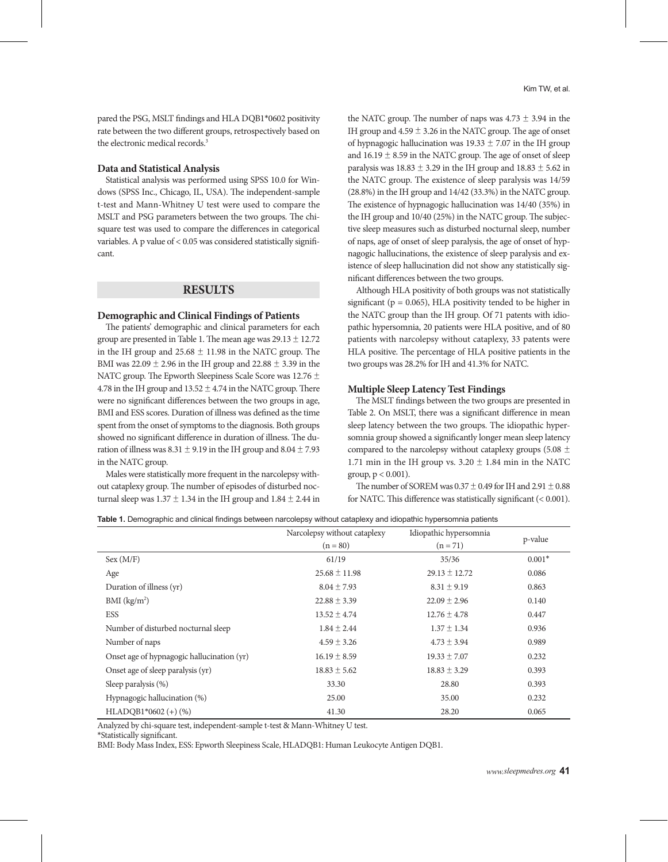pared the PSG, MSLT findings and HLA DQB1\*0602 positivity rate between the two different groups, retrospectively based on the electronic medical records.<sup>3</sup>

## **Data and Statistical Analysis**

Statistical analysis was performed using SPSS 10.0 for Windows (SPSS Inc., Chicago, IL, USA). The independent-sample t-test and Mann-Whitney U test were used to compare the MSLT and PSG parameters between the two groups. The chisquare test was used to compare the differences in categorical variables. A p value of < 0.05 was considered statistically significant.

## **RESULTS**

#### **Demographic and Clinical Findings of Patients**

The patients' demographic and clinical parameters for each group are presented in Table 1. The mean age was  $29.13 \pm 12.72$ in the IH group and  $25.68 \pm 11.98$  in the NATC group. The BMI was  $22.09 \pm 2.96$  in the IH group and  $22.88 \pm 3.39$  in the NATC group. The Epworth Sleepiness Scale Score was 12.76 ± 4.78 in the IH group and  $13.52 \pm 4.74$  in the NATC group. There were no significant differences between the two groups in age, BMI and ESS scores. Duration of illness was defined as the time spent from the onset of symptoms to the diagnosis. Both groups showed no significant difference in duration of illness. The duration of illness was  $8.31 \pm 9.19$  in the IH group and  $8.04 \pm 7.93$ in the NATC group.

Males were statistically more frequent in the narcolepsy without cataplexy group. The number of episodes of disturbed nocturnal sleep was  $1.37 \pm 1.34$  in the IH group and  $1.84 \pm 2.44$  in the NATC group. The number of naps was  $4.73 \pm 3.94$  in the IH group and  $4.59 \pm 3.26$  in the NATC group. The age of onset of hypnagogic hallucination was  $19.33 \pm 7.07$  in the IH group and  $16.19 \pm 8.59$  in the NATC group. The age of onset of sleep paralysis was  $18.83 \pm 3.29$  in the IH group and  $18.83 \pm 5.62$  in the NATC group. The existence of sleep paralysis was 14/59 (28.8%) in the IH group and 14/42 (33.3%) in the NATC group. The existence of hypnagogic hallucination was 14/40 (35%) in the IH group and 10/40 (25%) in the NATC group. The subjective sleep measures such as disturbed nocturnal sleep, number of naps, age of onset of sleep paralysis, the age of onset of hypnagogic hallucinations, the existence of sleep paralysis and existence of sleep hallucination did not show any statistically significant differences between the two groups.

Although HLA positivity of both groups was not statistically significant ( $p = 0.065$ ), HLA positivity tended to be higher in the NATC group than the IH group. Of 71 patents with idiopathic hypersomnia, 20 patients were HLA positive, and of 80 patients with narcolepsy without cataplexy, 33 patents were HLA positive. The percentage of HLA positive patients in the two groups was 28.2% for IH and 41.3% for NATC.

#### **Multiple Sleep Latency Test Findings**

The MSLT findings between the two groups are presented in Table 2. On MSLT, there was a significant difference in mean sleep latency between the two groups. The idiopathic hypersomnia group showed a significantly longer mean sleep latency compared to the narcolepsy without cataplexy groups (5.08  $\pm$ 1.71 min in the IH group vs.  $3.20 \pm 1.84$  min in the NATC group,  $p < 0.001$ ).

The number of SOREM was  $0.37 \pm 0.49$  for IH and  $2.91 \pm 0.88$ for NATC. This difference was statistically significant (< 0.001).

| Table 1. Demographic and clinical findings between narcolepsy without cataplexy and idiopathic hypersomnia patients |  |  |  |  |  |
|---------------------------------------------------------------------------------------------------------------------|--|--|--|--|--|
|---------------------------------------------------------------------------------------------------------------------|--|--|--|--|--|

|                                            | Narcolepsy without cataplexy | Idiopathic hypersomnia |          |  |
|--------------------------------------------|------------------------------|------------------------|----------|--|
|                                            | $(n = 80)$                   | $(n = 71)$             | p-value  |  |
| Sex (M/F)                                  | 61/19                        | 35/36                  | $0.001*$ |  |
| Age                                        | $25.68 \pm 11.98$            | $29.13 \pm 12.72$      | 0.086    |  |
| Duration of illness (yr)                   | $8.04 \pm 7.93$              | $8.31 \pm 9.19$        | 0.863    |  |
| $BMI$ (kg/m <sup>2</sup> )                 | $22.88 \pm 3.39$             | $22.09 \pm 2.96$       | 0.140    |  |
| <b>ESS</b>                                 | $13.52 \pm 4.74$             | $12.76 \pm 4.78$       | 0.447    |  |
| Number of disturbed nocturnal sleep        | $1.84 \pm 2.44$              | $1.37 \pm 1.34$        | 0.936    |  |
| Number of naps                             | $4.59 \pm 3.26$              | $4.73 \pm 3.94$        | 0.989    |  |
| Onset age of hypnagogic hallucination (yr) | $16.19 \pm 8.59$             | $19.33 \pm 7.07$       | 0.232    |  |
| Onset age of sleep paralysis (yr)          | $18.83 \pm 5.62$             | $18.83 \pm 3.29$       | 0.393    |  |
| Sleep paralysis $(\%)$                     | 33.30                        | 28.80                  | 0.393    |  |
| Hypnagogic hallucination (%)               | 25.00                        | 35.00                  | 0.232    |  |
| $HLADOB1*0602 (+) (%)$                     | 41.30                        | 28.20                  | 0.065    |  |

Analyzed by chi-square test, independent-sample t-test & Mann-Whitney U test.

\*Statistically significant.

BMI: Body Mass Index, ESS: Epworth Sleepiness Scale, HLADQB1: Human Leukocyte Antigen DQB1.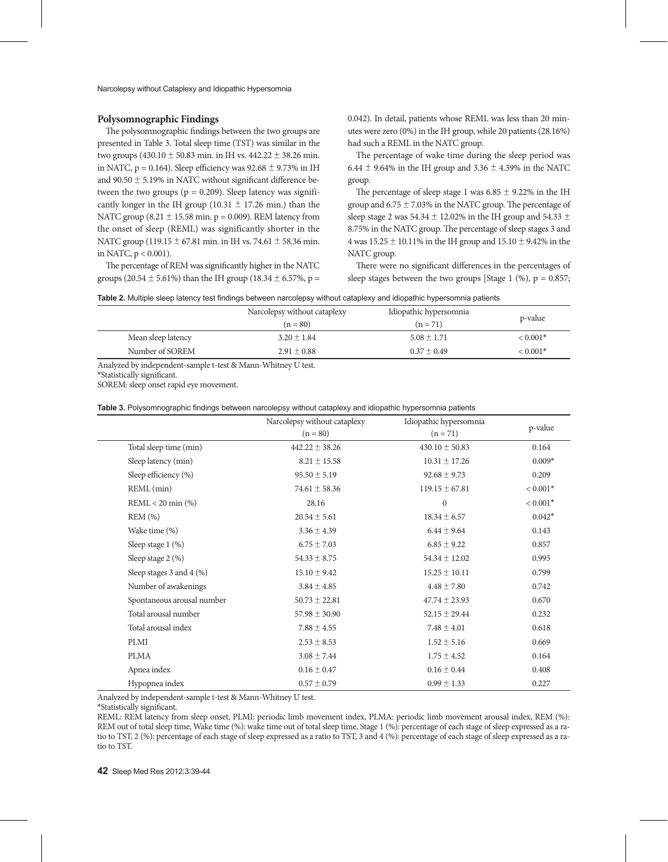## **Polysomnographic Findings**

The polysomnographic findings between the two groups are presented in Table 3. Total sleep time (TST) was similar in the two groups  $(430.10 \pm 50.83 \text{ min.}$  in IH vs.  $442.22 \pm 38.26 \text{ min.}$ in NATC,  $p = 0.164$ ). Sleep efficiency was  $92.68 \pm 9.73\%$  in IH and 90.50 ± 5.19% in NATC without significant difference between the two groups ( $p = 0.209$ ). Sleep latency was significantly longer in the IH group (10.31  $\pm$  17.26 min.) than the NATC group (8.21  $\pm$  15.58 min. p = 0.009). REM latency from the onset of sleep (REML) was significantly shorter in the NATC group (119.15  $\pm$  67.81 min. in IH vs. 74.61  $\pm$  58.36 min. in NATC, p < 0.001).

The percentage of REM was significantly higher in the NATC groups (20.54  $\pm$  5.61%) than the IH group (18.34  $\pm$  6.57%, p = 0.042). In detail, patients whose REML was less than 20 minutes were zero (0%) in the IH group, while 20 patients (28.16%) had such a REML in the NATC group.

The percentage of wake time during the sleep period was 6.44  $\pm$  9.64% in the IH group and 3.36  $\pm$  4.39% in the NATC group.

The percentage of sleep stage 1 was  $6.85 \pm 9.22\%$  in the IH group and  $6.75 \pm 7.03\%$  in the NATC group. The percentage of sleep stage 2 was 54.34  $\pm$  12.02% in the IH group and 54.33  $\pm$ 8.75% in the NATC group. The percentage of sleep stages 3 and 4 was  $15.25 \pm 10.11\%$  in the IH group and  $15.10 \pm 9.42\%$  in the NATC group.

There were no significant differences in the percentages of sleep stages between the two groups [Stage 1 (%),  $p = 0.857$ ;

| Table 2. Multiple sleep latency test findings between narcolepsy without cataplexy and idiopathic hypersomnia patients |  |  |  |  |
|------------------------------------------------------------------------------------------------------------------------|--|--|--|--|
|------------------------------------------------------------------------------------------------------------------------|--|--|--|--|

|                    | Narcolepsy without cataplexy | Idiopathic hypersomnia |            |  |
|--------------------|------------------------------|------------------------|------------|--|
|                    | $(n = 80)$                   | $(n = 71)$             | p-value    |  |
| Mean sleep latency | $3.20 \pm 1.84$              | $5.08 \pm 1.71$        | $< 0.001*$ |  |
| Number of SOREM    | $2.91 \pm 0.88$              | $0.37 \pm 0.49$        | $< 0.001*$ |  |

Analyzed by independent-sample t-test & Mann-Whitney U test.

\*Statistically significant.

SOREM: sleep onset rapid eye movement.

**Table 3.** Polysomnographic findings between narcolepsy without cataplexy and idiopathic hypersomnia patients

|                            | Narcolepsy without cataplexy | Idiopathic hypersomnia |            |  |
|----------------------------|------------------------------|------------------------|------------|--|
|                            | $(n = 80)$                   | $(n = 71)$             | p-value    |  |
| Total sleep time (min)     | $442.22 \pm 38.26$           | $430.10 \pm 50.83$     | 0.164      |  |
| Sleep latency (min)        | $8.21 \pm 15.58$             | $10.31 \pm 17.26$      | $0.009*$   |  |
| Sleep efficiency (%)       | $95.50 \pm 5.19$             | $92.68 \pm 9.73$       | 0.209      |  |
| REML (min)                 | $74.61 \pm 58.36$            | $119.15 \pm 67.81$     | $< 0.001*$ |  |
| $REML < 20$ min $(\%)$     | 28.16                        | $\mathbf{0}$           | $< 0.001*$ |  |
| REM (%)                    | $20.54 \pm 5.61$             | $18.34 \pm 6.57$       | $0.042*$   |  |
| Wake time (%)              | $3.36 \pm 4.39$              | $6.44 \pm 9.64$        | 0.143      |  |
| Sleep stage 1 (%)          | $6.75 \pm 7.03$              | $6.85 \pm 9.22$        | 0.857      |  |
| Sleep stage 2 (%)          | $54.33 \pm 8.75$             | $54.34 \pm 12.02$      | 0.995      |  |
| Sleep stages 3 and 4 (%)   | $15.10 \pm 9.42$             | $15.25 \pm 10.11$      | 0.799      |  |
| Number of awakenings       | $3.84 \pm 4.85$              | $4.48 \pm 7.80$        | 0.742      |  |
| Spontaneous arousal number | $50.73 \pm 22.81$            | $47.74 \pm 23.93$      | 0.670      |  |
| Total arousal number       | $57.98 \pm 30.90$            | $52.15 \pm 29.44$      | 0.232      |  |
| Total arousal index        | $7.88 \pm 4.55$              | $7.48 \pm 4.01$        | 0.618      |  |
| <b>PLMI</b>                | $2.53 \pm 8.53$              | $1.52 \pm 5.16$        | 0.669      |  |
| <b>PLMA</b>                | $3.08 \pm 7.44$              | $1.75 \pm 4.52$        | 0.164      |  |
| Apnea index                | $0.16 \pm 0.47$              | $0.16 \pm 0.44$        | 0.408      |  |
| Hypopnea index             | $0.57 \pm 0.79$              | $0.99 \pm 1.33$        | 0.227      |  |

Analyzed by independent-sample t-test & Mann-Whitney U test.

\*Statistically significant.

REML: REM latency from sleep onset, PLMI: periodic limb movement index, PLMA: periodic limb movement arousal index, REM (%): REM out of total sleep time, Wake time (%): wake time out of total sleep time, Stage 1 (%): percentage of each stage of sleep expressed as a ratio to TST, 2 (%): percentage of each stage of sleep expressed as a ratio to TST, 3 and 4 (%): percentage of each stage of sleep expressed as a ratio to TST.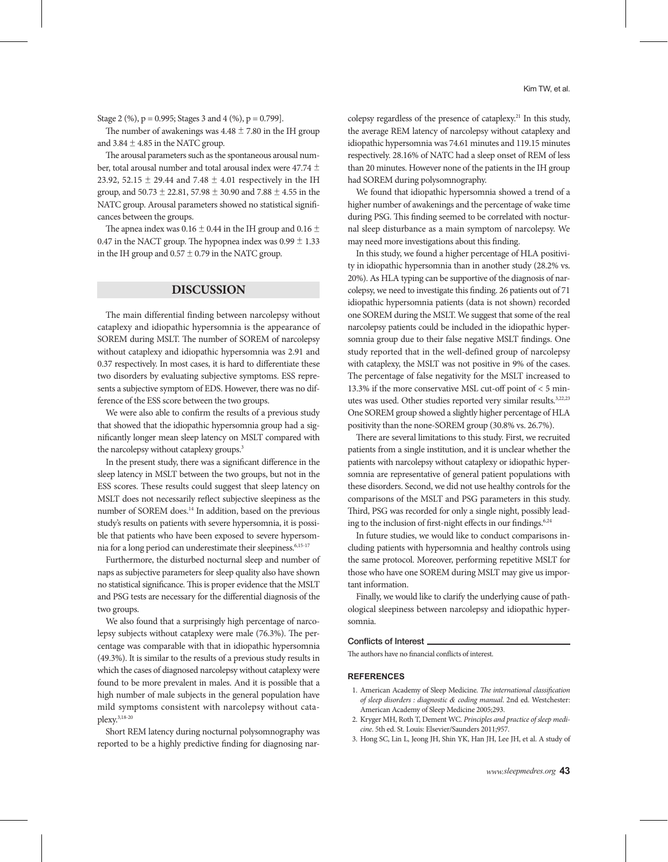Stage 2 (%),  $p = 0.995$ ; Stages 3 and 4 (%),  $p = 0.799$ ].

The number of awakenings was  $4.48 \pm 7.80$  in the IH group and  $3.84 \pm 4.85$  in the NATC group.

The arousal parameters such as the spontaneous arousal number, total arousal number and total arousal index were 47.74  $\pm$ 23.92, 52.15  $\pm$  29.44 and 7.48  $\pm$  4.01 respectively in the IH group, and 50.73 ± 22.81, 57.98 ± 30.90 and 7.88 ± 4.55 in the NATC group. Arousal parameters showed no statistical significances between the groups.

The apnea index was 0.16  $\pm$  0.44 in the IH group and 0.16  $\pm$ 0.47 in the NACT group. The hypopnea index was  $0.99 \pm 1.33$ in the IH group and  $0.57 \pm 0.79$  in the NATC group.

# **DISCUSSION**

The main differential finding between narcolepsy without cataplexy and idiopathic hypersomnia is the appearance of SOREM during MSLT. The number of SOREM of narcolepsy without cataplexy and idiopathic hypersomnia was 2.91 and 0.37 respectively. In most cases, it is hard to differentiate these two disorders by evaluating subjective symptoms. ESS represents a subjective symptom of EDS. However, there was no difference of the ESS score between the two groups.

We were also able to confirm the results of a previous study that showed that the idiopathic hypersomnia group had a significantly longer mean sleep latency on MSLT compared with the narcolepsy without cataplexy groups.<sup>3</sup>

In the present study, there was a significant difference in the sleep latency in MSLT between the two groups, but not in the ESS scores. These results could suggest that sleep latency on MSLT does not necessarily reflect subjective sleepiness as the number of SOREM does.14 In addition, based on the previous study's results on patients with severe hypersomnia, it is possible that patients who have been exposed to severe hypersomnia for a long period can underestimate their sleepiness.6,15-17

Furthermore, the disturbed nocturnal sleep and number of naps as subjective parameters for sleep quality also have shown no statistical significance. This is proper evidence that the MSLT and PSG tests are necessary for the differential diagnosis of the two groups.

We also found that a surprisingly high percentage of narcolepsy subjects without cataplexy were male (76.3%). The percentage was comparable with that in idiopathic hypersomnia (49.3%). It is similar to the results of a previous study results in which the cases of diagnosed narcolepsy without cataplexy were found to be more prevalent in males. And it is possible that a high number of male subjects in the general population have mild symptoms consistent with narcolepsy without cataplexy.3,18-20

Short REM latency during nocturnal polysomnography was reported to be a highly predictive finding for diagnosing narcolepsy regardless of the presence of cataplexy.21 In this study, the average REM latency of narcolepsy without cataplexy and idiopathic hypersomnia was 74.61 minutes and 119.15 minutes respectively. 28.16% of NATC had a sleep onset of REM of less than 20 minutes. However none of the patients in the IH group had SOREM during polysomnography.

We found that idiopathic hypersomnia showed a trend of a higher number of awakenings and the percentage of wake time during PSG. This finding seemed to be correlated with nocturnal sleep disturbance as a main symptom of narcolepsy. We may need more investigations about this finding.

In this study, we found a higher percentage of HLA positivity in idiopathic hypersomnia than in another study (28.2% vs. 20%). As HLA typing can be supportive of the diagnosis of narcolepsy, we need to investigate this finding. 26 patients out of 71 idiopathic hypersomnia patients (data is not shown) recorded one SOREM during the MSLT. We suggest that some of the real narcolepsy patients could be included in the idiopathic hypersomnia group due to their false negative MSLT findings. One study reported that in the well-defined group of narcolepsy with cataplexy, the MSLT was not positive in 9% of the cases. The percentage of false negativity for the MSLT increased to 13.3% if the more conservative MSL cut-off point of < 5 minutes was used. Other studies reported very similar results.<sup>3,22,23</sup> One SOREM group showed a slightly higher percentage of HLA positivity than the none-SOREM group (30.8% vs. 26.7%).

There are several limitations to this study. First, we recruited patients from a single institution, and it is unclear whether the patients with narcolepsy without cataplexy or idiopathic hypersomnia are representative of general patient populations with these disorders. Second, we did not use healthy controls for the comparisons of the MSLT and PSG parameters in this study. Third, PSG was recorded for only a single night, possibly leading to the inclusion of first-night effects in our findings.<sup>6,24</sup>

In future studies, we would like to conduct comparisons including patients with hypersomnia and healthy controls using the same protocol. Moreover, performing repetitive MSLT for those who have one SOREM during MSLT may give us important information.

Finally, we would like to clarify the underlying cause of pathological sleepiness between narcolepsy and idiopathic hypersomnia.

#### Conflicts of Interest

The authors have no financial conflicts of interest.

### **REFERENCES**

- 1. American Academy of Sleep Medicine. *The international classification of sleep disorders : diagnostic & coding manual*. 2nd ed. Westchester: American Academy of Sleep Medicine 2005;293.
- 2. Kryger MH, Roth T, Dement WC. *Principles and practice of sleep medicine*. 5th ed. St. Louis: Elsevier/Saunders 2011;957.
- 3. Hong SC, Lin L, Jeong JH, Shin YK, Han JH, Lee JH, et al. A study of